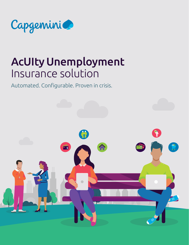

## AcUIty Unemployment Insurance solution

Automated. Configurable. Proven in crisis.

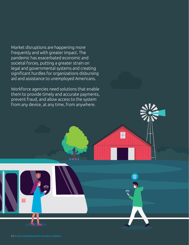Market disruptions are happening more frequently and with greater impact. The pandemic has exacerbated economic and societal forces, putting a greater strain on legal and governmental systems and creating significant hurdles for organizations disbursing aid and assistance to unemployed Americans.

Workforce agencies need solutions that enable them to provide timely and accurate payments, prevent fraud, and allow access to the system from any device, at any time, from anywhere.

Ŧ

ğ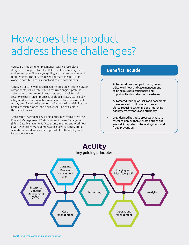# How does the product address these challenges?

AcUIty is a modern unemployment insurance (UI) solution designed to support state-level UI benefits and manage and address complex financial, eligibility, and claims-management requirements. The services-based approach means AcUIty works in both business-as-usual and crisis environments.

AcUIty is a secure web-based platform built on enterprise-grade components, with a robust business-rules engine, prebuilt automation of common UI processes, and scalability and security either in an on-premises or cloud infrastructure. Fully integrated and feature rich, it meets most state requirements on day one. Based on its proven performance in a crisis, it is the premier scalable, open, and flexible solution available in the market today.

Architected leveraging key guiding principles from Enterprise Content Management (ECM), Business Process Management (BPM), Case Management, Accounting, Imaging and Workflow (IWF), Operations Management, and analytics, AcUIty brings operational excellence and an optimal fit to Unemployment Insurance agencies.

### **Benefits include:**

- Automated processing of claims, online edits, workflow, and case management to bring business efficiencies and opportunities for return on investment
- Automated routing of tasks and documents to workers with follow-up actions and alerts, reducing cycle time and improving agency effectiveness and efficiency
- Well-defined business processes that are faster to deploy than custom options and are well integrated to federal systems and fraud prevention.

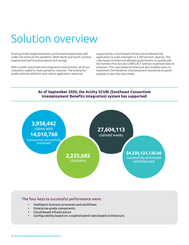# Solution overview

Existing AcUIty implementations performed exceptionally well under the stress of the pandemic. Both North and South Carolina experienced performance boosts and savings.

With a public cloud back-end integration environment, all of our customers scaled to meet pandemic volumes. The enterprisegrade common platform with robust application resources

supported by a cloud-based infrastructure allowed the application to scale overnight to 4,500 percent capacity. The rules-based architecture allowed governments to quickly add the Families First Act and CARES ACT without expensive bolt-on solutions. This rules-based architecture also enabled users to implement the Pandemic Unemployment Assistance program updates in less than two weeks.

### **As of September 2020, the AcUIty SCUBI (Southeast Consortium Unemployment Benefits Integration) system has supported:**



### The four keys to successful performance were:

- Intelligent business processes and workflows
- Enterprise-grade components
- Cloud-based infrastructure
- Configurability based on a sophisticated rules-based architecture.